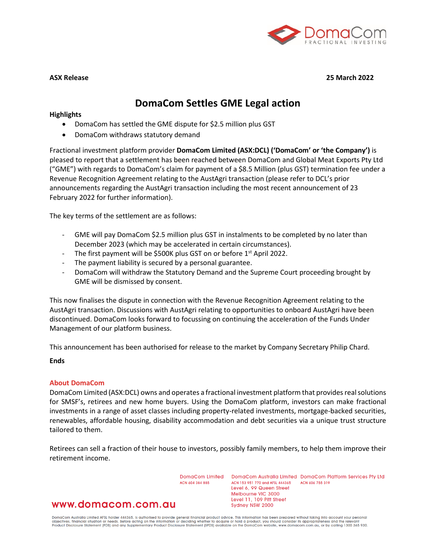

#### **ASX Release 25 March 2022**

# **DomaCom Settles GME Legal action**

#### **Highlights**

- DomaCom has settled the GME dispute for \$2.5 million plus GST
- DomaCom withdraws statutory demand

Fractional investment platform provider **DomaCom Limited (ASX:DCL) ('DomaCom' or 'the Company')** is pleased to report that a settlement has been reached between DomaCom and Global Meat Exports Pty Ltd ("GME") with regards to DomaCom's claim for payment of a \$8.5 Million (plus GST) termination fee under a Revenue Recognition Agreement relating to the AustAgri transaction (please refer to DCL's prior announcements regarding the AustAgri transaction including the most recent announcement of 23 February 2022 for further information).

The key terms of the settlement are as follows:

- GME will pay DomaCom \$2.5 million plus GST in instalments to be completed by no later than December 2023 (which may be accelerated in certain circumstances).
- The first payment will be \$500K plus GST on or before 1<sup>st</sup> April 2022.
- The payment liability is secured by a personal guarantee.
- DomaCom will withdraw the Statutory Demand and the Supreme Court proceeding brought by GME will be dismissed by consent.

This now finalises the dispute in connection with the Revenue Recognition Agreement relating to the AustAgri transaction. Discussions with AustAgri relating to opportunities to onboard AustAgri have been discontinued. DomaCom looks forward to focussing on continuing the acceleration of the Funds Under Management of our platform business.

This announcement has been authorised for release to the market by Company Secretary Philip Chard.

## **Ends**

## **About DomaCom**

DomaCom Limited (ASX:DCL) owns and operates a fractional investment platform that provides real solutions for SMSF's, retirees and new home buyers. Using the DomaCom platform, investors can make fractional investments in a range of asset classes including property-related investments, mortgage-backed securities, renewables, affordable housing, disability accommodation and debt securities via a unique trust structure tailored to them.

Retirees can sell a fraction of their house to investors, possibly family members, to help them improve their retirement income.

ACN 604 384 885

www.domacom.com.au

DomaCom Limited DomaCom Australia Limited DomaCom Platform Services Pty Ltd ACN 153 951 770 and AFSL 444365 ACN 606 755 319 Level 6, 99 Queen Street Melbourne VIC 3000 Level 11, 109 Pitt Street Sydney NSW 2000

DomaCom Australia Limited AFSL holder 444365, is authorised to provide general financial product advice. This information has been prepared without taking into account your personal<br>objectives, financial situation or needs